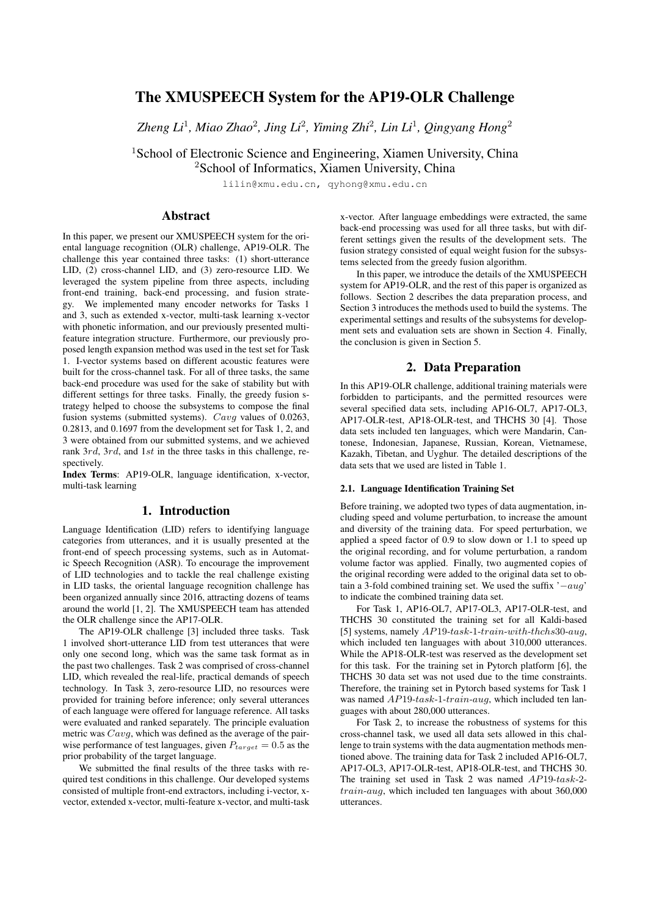# The XMUSPEECH System for the AP19-OLR Challenge

*Zheng Li*<sup>1</sup> *, Miao Zhao*<sup>2</sup> *, Jing Li*<sup>2</sup> *, Yiming Zhi*<sup>2</sup> *, Lin Li*<sup>1</sup> *, Qingyang Hong*<sup>2</sup>

<sup>1</sup>School of Electronic Science and Engineering, Xiamen University, China

<sup>2</sup>School of Informatics, Xiamen University, China

lilin@xmu.edu.cn, qyhong@xmu.edu.cn

## Abstract

In this paper, we present our XMUSPEECH system for the oriental language recognition (OLR) challenge, AP19-OLR. The challenge this year contained three tasks: (1) short-utterance LID, (2) cross-channel LID, and (3) zero-resource LID. We leveraged the system pipeline from three aspects, including front-end training, back-end processing, and fusion strategy. We implemented many encoder networks for Tasks 1 and 3, such as extended x-vector, multi-task learning x-vector with phonetic information, and our previously presented multifeature integration structure. Furthermore, our previously proposed length expansion method was used in the test set for Task 1. I-vector systems based on different acoustic features were built for the cross-channel task. For all of three tasks, the same back-end procedure was used for the sake of stability but with different settings for three tasks. Finally, the greedy fusion strategy helped to choose the subsystems to compose the final fusion systems (submitted systems). Cavg values of 0.0263, 0.2813, and 0.1697 from the development set for Task 1, 2, and 3 were obtained from our submitted systems, and we achieved rank 3rd, 3rd, and 1st in the three tasks in this challenge, respectively.

Index Terms: AP19-OLR, language identification, x-vector, multi-task learning

### 1. Introduction

Language Identification (LID) refers to identifying language categories from utterances, and it is usually presented at the front-end of speech processing systems, such as in Automatic Speech Recognition (ASR). To encourage the improvement of LID technologies and to tackle the real challenge existing in LID tasks, the oriental language recognition challenge has been organized annually since 2016, attracting dozens of teams around the world [1, 2]. The XMUSPEECH team has attended the OLR challenge since the AP17-OLR.

The AP19-OLR challenge [3] included three tasks. Task 1 involved short-utterance LID from test utterances that were only one second long, which was the same task format as in the past two challenges. Task 2 was comprised of cross-channel LID, which revealed the real-life, practical demands of speech technology. In Task 3, zero-resource LID, no resources were provided for training before inference; only several utterances of each language were offered for language reference. All tasks were evaluated and ranked separately. The principle evaluation metric was  $Cavg$ , which was defined as the average of the pairwise performance of test languages, given  $P_{target} = 0.5$  as the prior probability of the target language.

We submitted the final results of the three tasks with required test conditions in this challenge. Our developed systems consisted of multiple front-end extractors, including i-vector, xvector, extended x-vector, multi-feature x-vector, and multi-task x-vector. After language embeddings were extracted, the same back-end processing was used for all three tasks, but with different settings given the results of the development sets. The fusion strategy consisted of equal weight fusion for the subsystems selected from the greedy fusion algorithm.

In this paper, we introduce the details of the XMUSPEECH system for AP19-OLR, and the rest of this paper is organized as follows. Section 2 describes the data preparation process, and Section 3 introduces the methods used to build the systems. The experimental settings and results of the subsystems for development sets and evaluation sets are shown in Section 4. Finally, the conclusion is given in Section 5.

## 2. Data Preparation

In this AP19-OLR challenge, additional training materials were forbidden to participants, and the permitted resources were several specified data sets, including AP16-OL7, AP17-OL3, AP17-OLR-test, AP18-OLR-test, and THCHS 30 [4]. Those data sets included ten languages, which were Mandarin, Cantonese, Indonesian, Japanese, Russian, Korean, Vietnamese, Kazakh, Tibetan, and Uyghur. The detailed descriptions of the data sets that we used are listed in Table 1.

### 2.1. Language Identification Training Set

Before training, we adopted two types of data augmentation, including speed and volume perturbation, to increase the amount and diversity of the training data. For speed perturbation, we applied a speed factor of 0.9 to slow down or 1.1 to speed up the original recording, and for volume perturbation, a random volume factor was applied. Finally, two augmented copies of the original recording were added to the original data set to obtain a 3-fold combined training set. We used the suffix '−aug' to indicate the combined training data set.

For Task 1, AP16-OL7, AP17-OL3, AP17-OLR-test, and THCHS 30 constituted the training set for all Kaldi-based [5] systems, namely AP19-task-1-train-with-thchs30-aug, which included ten languages with about 310,000 utterances. While the AP18-OLR-test was reserved as the development set for this task. For the training set in Pytorch platform [6], the THCHS 30 data set was not used due to the time constraints. Therefore, the training set in Pytorch based systems for Task 1 was named  $AP19$ -task-1-train-aug, which included ten languages with about 280,000 utterances.

For Task 2, to increase the robustness of systems for this cross-channel task, we used all data sets allowed in this challenge to train systems with the data augmentation methods mentioned above. The training data for Task 2 included AP16-OL7, AP17-OL3, AP17-OLR-test, AP18-OLR-test, and THCHS 30. The training set used in Task 2 was named AP19-task-2 train-aug, which included ten languages with about 360,000 utterances.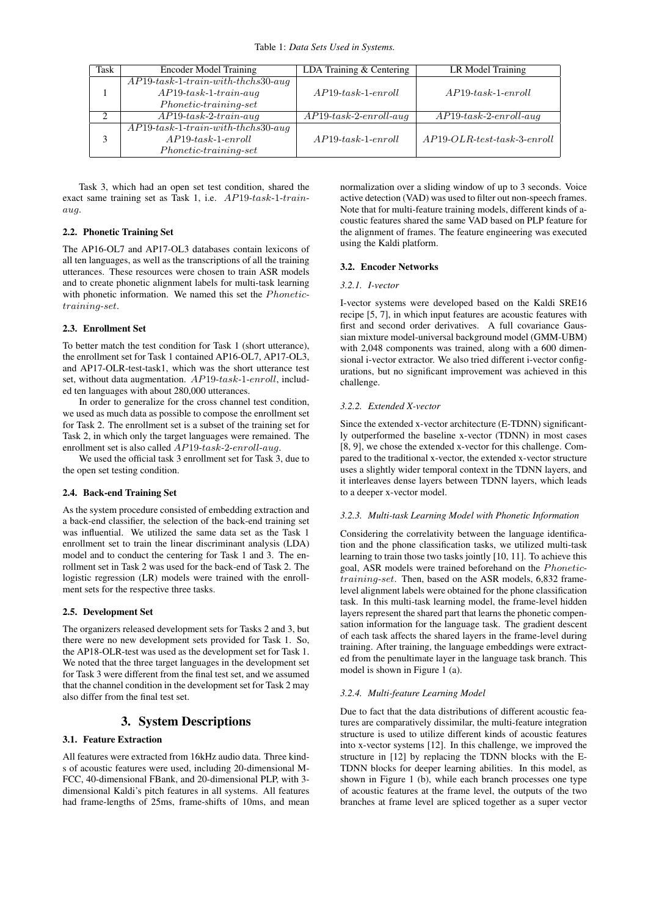| Task                        | Encoder Model Training                | LDA Training & Centering  | LR Model Training             |
|-----------------------------|---------------------------------------|---------------------------|-------------------------------|
|                             | $AP19$ -task-1-train-with-thchs30-aug |                           |                               |
|                             | $AP19$ -task-1-train-aug              | $AP19$ -task-1-enroll     | $AP19$ -task-1-enroll         |
|                             | $Phonetic-training-set$               |                           |                               |
| $\mathcal{D}_{\mathcal{L}}$ | $AP19$ -task-2-train-aug              | $AP19$ -task-2-enroll-aug | $AP19$ -task-2-enroll-aug     |
|                             | $AP19$ -task-1-train-with-thchs30-aug |                           |                               |
| 3                           | $AP19$ -task-1-enroll                 | $AP19$ -task-1-enroll     | $AP19-OLR-test-task-3-enroll$ |
|                             | $Phonetic-training-set$               |                           |                               |

Task 3, which had an open set test condition, shared the exact same training set as Task 1, i.e.  $AP19$ -task-1-trainaug.

## 2.2. Phonetic Training Set

The AP16-OL7 and AP17-OL3 databases contain lexicons of all ten languages, as well as the transcriptions of all the training utterances. These resources were chosen to train ASR models and to create phonetic alignment labels for multi-task learning with phonetic information. We named this set the Phonetictraining-set.

## 2.3. Enrollment Set

To better match the test condition for Task 1 (short utterance), the enrollment set for Task 1 contained AP16-OL7, AP17-OL3, and AP17-OLR-test-task1, which was the short utterance test set, without data augmentation.  $AP19$ -task-1-enroll, included ten languages with about 280,000 utterances.

In order to generalize for the cross channel test condition, we used as much data as possible to compose the enrollment set for Task 2. The enrollment set is a subset of the training set for Task 2, in which only the target languages were remained. The enrollment set is also called AP19-task-2-enroll-aug.

We used the official task 3 enrollment set for Task 3, due to the open set testing condition.

### 2.4. Back-end Training Set

As the system procedure consisted of embedding extraction and a back-end classifier, the selection of the back-end training set was influential. We utilized the same data set as the Task 1 enrollment set to train the linear discriminant analysis (LDA) model and to conduct the centering for Task 1 and 3. The enrollment set in Task 2 was used for the back-end of Task 2. The logistic regression (LR) models were trained with the enrollment sets for the respective three tasks.

### 2.5. Development Set

The organizers released development sets for Tasks 2 and 3, but there were no new development sets provided for Task 1. So, the AP18-OLR-test was used as the development set for Task 1. We noted that the three target languages in the development set for Task 3 were different from the final test set, and we assumed that the channel condition in the development set for Task 2 may also differ from the final test set.

## 3. System Descriptions

#### 3.1. Feature Extraction

All features were extracted from 16kHz audio data. Three kinds of acoustic features were used, including 20-dimensional M-FCC, 40-dimensional FBank, and 20-dimensional PLP, with 3 dimensional Kaldi's pitch features in all systems. All features had frame-lengths of 25ms, frame-shifts of 10ms, and mean normalization over a sliding window of up to 3 seconds. Voice active detection (VAD) was used to filter out non-speech frames. Note that for multi-feature training models, different kinds of acoustic features shared the same VAD based on PLP feature for the alignment of frames. The feature engineering was executed using the Kaldi platform.

## 3.2. Encoder Networks

#### *3.2.1. I-vector*

I-vector systems were developed based on the Kaldi SRE16 recipe [5, 7], in which input features are acoustic features with first and second order derivatives. A full covariance Gaussian mixture model-universal background model (GMM-UBM) with 2,048 components was trained, along with a 600 dimensional i-vector extractor. We also tried different i-vector configurations, but no significant improvement was achieved in this challenge.

#### *3.2.2. Extended X-vector*

Since the extended x-vector architecture (E-TDNN) significantly outperformed the baseline x-vector (TDNN) in most cases [8, 9], we chose the extended x-vector for this challenge. Compared to the traditional x-vector, the extended x-vector structure uses a slightly wider temporal context in the TDNN layers, and it interleaves dense layers between TDNN layers, which leads to a deeper x-vector model.

#### *3.2.3. Multi-task Learning Model with Phonetic Information*

Considering the correlativity between the language identification and the phone classification tasks, we utilized multi-task learning to train those two tasks jointly [10, 11]. To achieve this goal, ASR models were trained beforehand on the Phonetictraining-set. Then, based on the ASR models, 6,832 framelevel alignment labels were obtained for the phone classification task. In this multi-task learning model, the frame-level hidden layers represent the shared part that learns the phonetic compensation information for the language task. The gradient descent of each task affects the shared layers in the frame-level during training. After training, the language embeddings were extracted from the penultimate layer in the language task branch. This model is shown in Figure 1 (a).

### *3.2.4. Multi-feature Learning Model*

Due to fact that the data distributions of different acoustic features are comparatively dissimilar, the multi-feature integration structure is used to utilize different kinds of acoustic features into x-vector systems [12]. In this challenge, we improved the structure in [12] by replacing the TDNN blocks with the E-TDNN blocks for deeper learning abilities. In this model, as shown in Figure 1 (b), while each branch processes one type of acoustic features at the frame level, the outputs of the two branches at frame level are spliced together as a super vector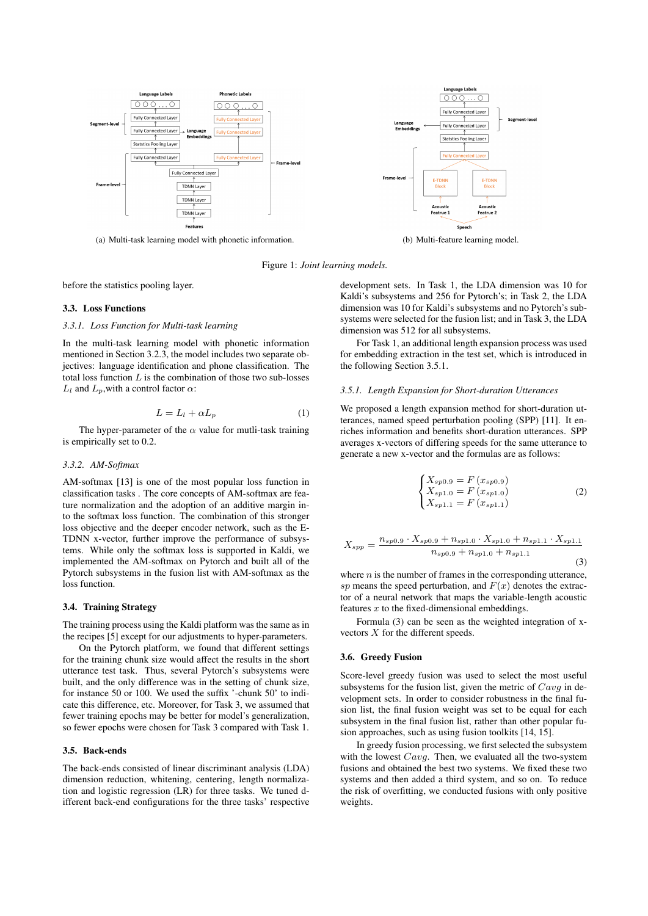

Figure 1: *Joint learning models.*

before the statistics pooling layer.

#### 3.3. Loss Functions

#### *3.3.1. Loss Function for Multi-task learning*

In the multi-task learning model with phonetic information mentioned in Section 3.2.3, the model includes two separate objectives: language identification and phone classification. The total loss function  $L$  is the combination of those two sub-losses  $L_l$  and  $L_p$ , with a control factor  $\alpha$ :

$$
L = L_l + \alpha L_p \tag{1}
$$

The hyper-parameter of the  $\alpha$  value for mutli-task training is empirically set to 0.2.

#### *3.3.2. AM-Softmax*

AM-softmax [13] is one of the most popular loss function in classification tasks . The core concepts of AM-softmax are feature normalization and the adoption of an additive margin into the softmax loss function. The combination of this stronger loss objective and the deeper encoder network, such as the E-TDNN x-vector, further improve the performance of subsystems. While only the softmax loss is supported in Kaldi, we implemented the AM-softmax on Pytorch and built all of the Pytorch subsystems in the fusion list with AM-softmax as the loss function.

## 3.4. Training Strategy

The training process using the Kaldi platform was the same as in the recipes [5] except for our adjustments to hyper-parameters.

On the Pytorch platform, we found that different settings for the training chunk size would affect the results in the short utterance test task. Thus, several Pytorch's subsystems were built, and the only difference was in the setting of chunk size, for instance 50 or 100. We used the suffix '-chunk 50' to indicate this difference, etc. Moreover, for Task 3, we assumed that fewer training epochs may be better for model's generalization, so fewer epochs were chosen for Task 3 compared with Task 1.

#### 3.5. Back-ends

The back-ends consisted of linear discriminant analysis (LDA) dimension reduction, whitening, centering, length normalization and logistic regression (LR) for three tasks. We tuned different back-end configurations for the three tasks' respective development sets. In Task 1, the LDA dimension was 10 for Kaldi's subsystems and 256 for Pytorch's; in Task 2, the LDA dimension was 10 for Kaldi's subsystems and no Pytorch's subsystems were selected for the fusion list; and in Task 3, the LDA dimension was 512 for all subsystems.

For Task 1, an additional length expansion process was used for embedding extraction in the test set, which is introduced in the following Section 3.5.1.

#### *3.5.1. Length Expansion for Short-duration Utterances*

We proposed a length expansion method for short-duration utterances, named speed perturbation pooling (SPP) [11]. It enriches information and benefits short-duration utterances. SPP averages x-vectors of differing speeds for the same utterance to generate a new x-vector and the formulas are as follows:

$$
\begin{cases}\nX_{sp0.9} = F(x_{sp0.9}) \\
X_{sp1.0} = F(x_{sp1.0}) \\
X_{sp1.1} = F(x_{sp1.1})\n\end{cases}
$$
\n(2)

$$
X_{spp} = \frac{n_{sp0.9} \cdot X_{sp0.9} + n_{sp1.0} \cdot X_{sp1.0} + n_{sp1.1} \cdot X_{sp1.1}}{n_{sp0.9} + n_{sp1.0} + n_{sp1.1}}
$$
\n(3)

where  $n$  is the number of frames in the corresponding utterance, sp means the speed perturbation, and  $F(x)$  denotes the extractor of a neural network that maps the variable-length acoustic features  $x$  to the fixed-dimensional embeddings.

Formula (3) can be seen as the weighted integration of xvectors X for the different speeds.

#### 3.6. Greedy Fusion

Score-level greedy fusion was used to select the most useful subsystems for the fusion list, given the metric of  $C \alpha vq$  in development sets. In order to consider robustness in the final fusion list, the final fusion weight was set to be equal for each subsystem in the final fusion list, rather than other popular fusion approaches, such as using fusion toolkits [14, 15].

In greedy fusion processing, we first selected the subsystem with the lowest  $Cavg$ . Then, we evaluated all the two-system fusions and obtained the best two systems. We fixed these two systems and then added a third system, and so on. To reduce the risk of overfitting, we conducted fusions with only positive weights.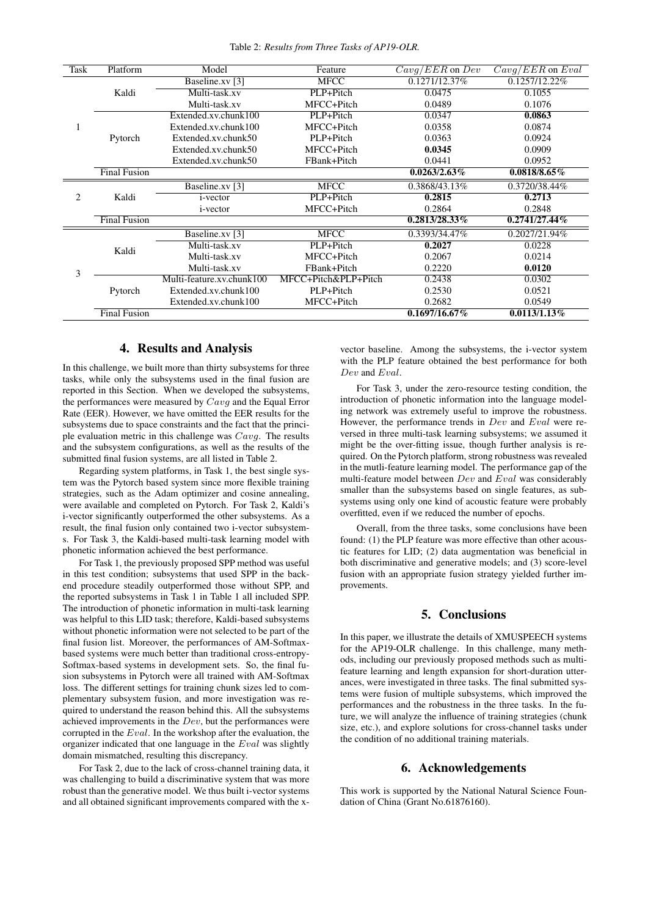Table 2: *Results from Three Tasks of AP19-OLR.*

| Task           | Platform            | Model                     | Feature              | $Cavg/EER$ on $Dev$ | $Cavg/EER$ on $Eval$ |
|----------------|---------------------|---------------------------|----------------------|---------------------|----------------------|
| 1              | Kaldi               | Baseline.xv [3]           | <b>MFCC</b>          | 0.1271/12.37%       | 0.1257/12.22%        |
|                |                     | Multi-task.xv             | PLP+Pitch            | 0.0475              | 0.1055               |
|                |                     | Multi-task.xv             | MFCC+Pitch           | 0.0489              | 0.1076               |
|                | Pytorch             | Extended.xv.chunk100      | PLP+Pitch            | 0.0347              | 0.0863               |
|                |                     | Extended.xv.chunk100      | MFCC+Pitch           | 0.0358              | 0.0874               |
|                |                     | Extended.xv.chunk50       | PLP+Pitch            | 0.0363              | 0.0924               |
|                |                     | Extended.xv.chunk50       | MFCC+Pitch           | 0.0345              | 0.0909               |
|                |                     | Extended.xv.chunk50       | FBank+Pitch          | 0.0441              | 0.0952               |
|                | <b>Final Fusion</b> |                           |                      | $0.0263/2.63\%$     | $0.0818/8.65\%$      |
| $\overline{c}$ | Kaldi               | Baseline.xv [3]           | <b>MFCC</b>          | 0.3868/43.13%       | 0.3720/38.44%        |
|                |                     | <i>i</i> -vector          | PLP+Pitch            | 0.2815              | 0.2713               |
|                |                     | <i>i</i> -vector          | MFCC+Pitch           | 0.2864              | 0.2848               |
|                | <b>Final Fusion</b> |                           |                      | $0.2813/28.33\%$    | $0.2741/27.44\%$     |
| 3              | Kaldi               | Baseline.xv [3]           | <b>MFCC</b>          | 0.3393/34.47%       | 0.2027/21.94%        |
|                |                     | Multi-task.xv             | PLP+Pitch            | 0.2027              | 0.0228               |
|                |                     | Multi-task.xv             | MFCC+Pitch           | 0.2067              | 0.0214               |
|                |                     | Multi-task.xv             | FBank+Pitch          | 0.2220              | 0.0120               |
|                | Pytorch             | Multi-feature.xy.chunk100 | MFCC+Pitch&PLP+Pitch | 0.2438              | 0.0302               |
|                |                     | Extended.xv.chunk100      | PLP+Pitch            | 0.2530              | 0.0521               |
|                |                     | Extended.xv.chunk100      | MFCC+Pitch           | 0.2682              | 0.0549               |
|                | <b>Final Fusion</b> |                           |                      | $0.1697/16.67\%$    | $0.0113/1.13\%$      |

## 4. Results and Analysis

In this challenge, we built more than thirty subsystems for three tasks, while only the subsystems used in the final fusion are reported in this Section. When we developed the subsystems, the performances were measured by  $Cavq$  and the Equal Error Rate (EER). However, we have omitted the EER results for the subsystems due to space constraints and the fact that the principle evaluation metric in this challenge was  $Cavq$ . The results and the subsystem configurations, as well as the results of the submitted final fusion systems, are all listed in Table 2.

Regarding system platforms, in Task 1, the best single system was the Pytorch based system since more flexible training strategies, such as the Adam optimizer and cosine annealing, were available and completed on Pytorch. For Task 2, Kaldi's i-vector significantly outperformed the other subsystems. As a result, the final fusion only contained two i-vector subsystems. For Task 3, the Kaldi-based multi-task learning model with phonetic information achieved the best performance.

For Task 1, the previously proposed SPP method was useful in this test condition; subsystems that used SPP in the backend procedure steadily outperformed those without SPP, and the reported subsystems in Task 1 in Table 1 all included SPP. The introduction of phonetic information in multi-task learning was helpful to this LID task; therefore, Kaldi-based subsystems without phonetic information were not selected to be part of the final fusion list. Moreover, the performances of AM-Softmaxbased systems were much better than traditional cross-entropy-Softmax-based systems in development sets. So, the final fusion subsystems in Pytorch were all trained with AM-Softmax loss. The different settings for training chunk sizes led to complementary subsystem fusion, and more investigation was required to understand the reason behind this. All the subsystems achieved improvements in the Dev, but the performances were corrupted in the  $Eval$ . In the workshop after the evaluation, the organizer indicated that one language in the  $Eval$  was slightly domain mismatched, resulting this discrepancy.

For Task 2, due to the lack of cross-channel training data, it was challenging to build a discriminative system that was more robust than the generative model. We thus built i-vector systems and all obtained significant improvements compared with the xvector baseline. Among the subsystems, the i-vector system with the PLP feature obtained the best performance for both Dev and Eval.

For Task 3, under the zero-resource testing condition, the introduction of phonetic information into the language modeling network was extremely useful to improve the robustness. However, the performance trends in  $Dev$  and  $Eval$  were reversed in three multi-task learning subsystems; we assumed it might be the over-fitting issue, though further analysis is required. On the Pytorch platform, strong robustness was revealed in the mutli-feature learning model. The performance gap of the multi-feature model between  $Dev$  and  $Eval$  was considerably smaller than the subsystems based on single features, as subsystems using only one kind of acoustic feature were probably overfitted, even if we reduced the number of epochs.

Overall, from the three tasks, some conclusions have been found: (1) the PLP feature was more effective than other acoustic features for LID; (2) data augmentation was beneficial in both discriminative and generative models; and (3) score-level fusion with an appropriate fusion strategy yielded further improvements.

## 5. Conclusions

In this paper, we illustrate the details of XMUSPEECH systems for the AP19-OLR challenge. In this challenge, many methods, including our previously proposed methods such as multifeature learning and length expansion for short-duration utterances, were investigated in three tasks. The final submitted systems were fusion of multiple subsystems, which improved the performances and the robustness in the three tasks. In the future, we will analyze the influence of training strategies (chunk size, etc.), and explore solutions for cross-channel tasks under the condition of no additional training materials.

## 6. Acknowledgements

This work is supported by the National Natural Science Foundation of China (Grant No.61876160).